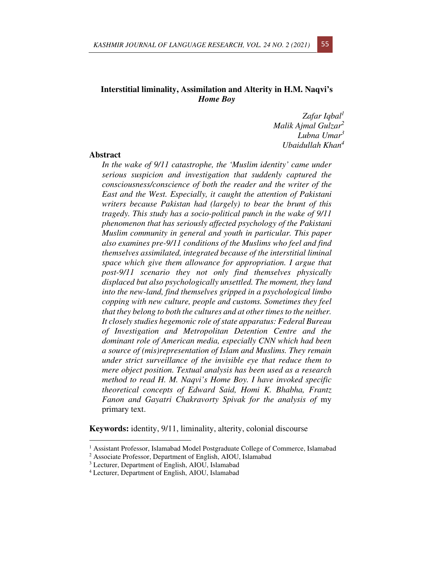# **Interstitial liminality, Assimilation and Alterity in H.M. Naqvi's**  *Home Boy*

*Zafar Iqbal<sup>1</sup> Malik Ajmal Gulzar<sup>2</sup> Lubna Umar<sup>3</sup> Ubaidullah Khan<sup>4</sup>*

# **Abstract**

*In the wake of 9/11 catastrophe, the 'Muslim identity' came under serious suspicion and investigation that suddenly captured the consciousness/conscience of both the reader and the writer of the East and the West. Especially, it caught the attention of Pakistani writers because Pakistan had (largely) to bear the brunt of this tragedy. This study has a socio-political punch in the wake of 9/11 phenomenon that has seriously affected psychology of the Pakistani Muslim community in general and youth in particular. This paper also examines pre-9/11 conditions of the Muslims who feel and find themselves assimilated, integrated because of the interstitial liminal space which give them allowance for appropriation. I argue that post-9/11 scenario they not only find themselves physically displaced but also psychologically unsettled. The moment, they land into the new-land, find themselves gripped in a psychological limbo copping with new culture, people and customs. Sometimes they feel that they belong to both the cultures and at other times to the neither. It closely studies hegemonic role of state apparatus: Federal Bureau of Investigation and Metropolitan Detention Centre and the dominant role of American media, especially CNN which had been a source of (mis)representation of Islam and Muslims. They remain under strict surveillance of the invisible eye that reduce them to mere object position. Textual analysis has been used as a research method to read H. M. Naqvi's Home Boy. I have invoked specific theoretical concepts of Edward Said, Homi K. Bhabha, Frantz Fanon and Gayatri Chakravorty Spivak for the analysis of* my primary text.

**Keywords:** identity, 9/11, liminality, alterity, colonial discourse

<sup>&</sup>lt;sup>1</sup> Assistant Professor, Islamabad Model Postgraduate College of Commerce, Islamabad

<sup>2</sup> Associate Professor, Department of English, AIOU, Islamabad

<sup>3</sup> Lecturer, Department of English, AIOU, Islamabad

<sup>4</sup> Lecturer, Department of English, AIOU, Islamabad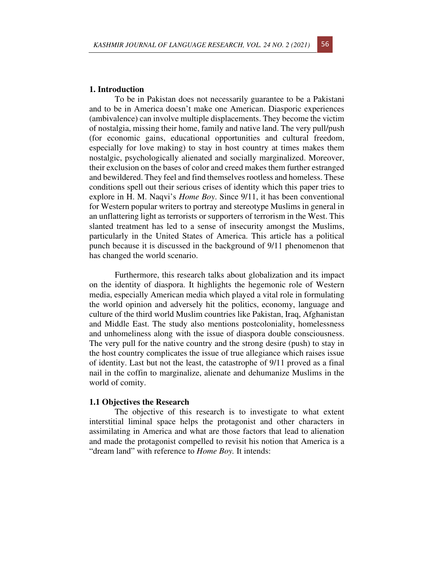## **1. Introduction**

To be in Pakistan does not necessarily guarantee to be a Pakistani and to be in America doesn't make one American. Diasporic experiences (ambivalence) can involve multiple displacements. They become the victim of nostalgia, missing their home, family and native land. The very pull/push (for economic gains, educational opportunities and cultural freedom, especially for love making) to stay in host country at times makes them nostalgic, psychologically alienated and socially marginalized. Moreover, their exclusion on the bases of color and creed makes them further estranged and bewildered. They feel and find themselves rootless and homeless. These conditions spell out their serious crises of identity which this paper tries to explore in H. M. Naqvi's *Home Boy*. Since 9/11, it has been conventional for Western popular writers to portray and stereotype Muslims in general in an unflattering light as terrorists or supporters of terrorism in the West. This slanted treatment has led to a sense of insecurity amongst the Muslims, particularly in the United States of America. This article has a political punch because it is discussed in the background of 9/11 phenomenon that has changed the world scenario.

Furthermore, this research talks about globalization and its impact on the identity of diaspora. It highlights the hegemonic role of Western media, especially American media which played a vital role in formulating the world opinion and adversely hit the politics, economy, language and culture of the third world Muslim countries like Pakistan, Iraq, Afghanistan and Middle East. The study also mentions postcoloniality, homelessness and unhomeliness along with the issue of diaspora double consciousness. The very pull for the native country and the strong desire (push) to stay in the host country complicates the issue of true allegiance which raises issue of identity. Last but not the least, the catastrophe of 9/11 proved as a final nail in the coffin to marginalize, alienate and dehumanize Muslims in the world of comity.

## **1.1 Objectives the Research**

The objective of this research is to investigate to what extent interstitial liminal space helps the protagonist and other characters in assimilating in America and what are those factors that lead to alienation and made the protagonist compelled to revisit his notion that America is a "dream land" with reference to *Home Boy.* It intends: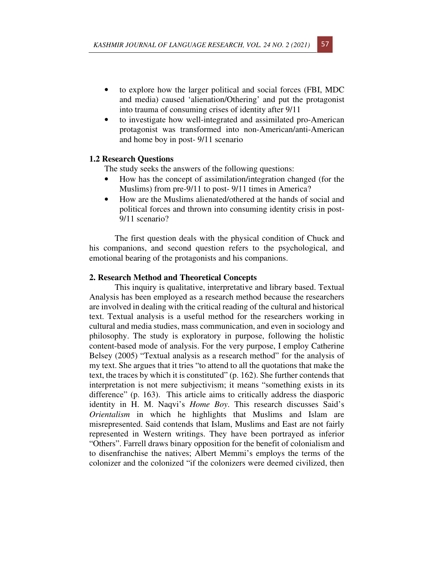- to explore how the larger political and social forces (FBI, MDC and media) caused 'alienation/Othering' and put the protagonist into trauma of consuming crises of identity after 9/11
- to investigate how well-integrated and assimilated pro-American protagonist was transformed into non-American/anti-American and home boy in post- 9/11 scenario

## **1.2 Research Questions**

The study seeks the answers of the following questions:

- How has the concept of assimilation/integration changed (for the Muslims) from pre-9/11 to post- 9/11 times in America?
- How are the Muslims alienated/othered at the hands of social and political forces and thrown into consuming identity crisis in post-9/11 scenario?

The first question deals with the physical condition of Chuck and his companions, and second question refers to the psychological, and emotional bearing of the protagonists and his companions.

## **2. Research Method and Theoretical Concepts**

This inquiry is qualitative, interpretative and library based. Textual Analysis has been employed as a research method because the researchers are involved in dealing with the critical reading of the cultural and historical text. Textual analysis is a useful method for the researchers working in cultural and media studies, mass communication, and even in sociology and philosophy. The study is exploratory in purpose, following the holistic content-based mode of analysis. For the very purpose, I employ Catherine Belsey (2005) "Textual analysis as a research method" for the analysis of my text. She argues that it tries "to attend to all the quotations that make the text, the traces by which it is constituted" (p. 162). She further contends that interpretation is not mere subjectivism; it means "something exists in its difference" (p. 163). This article aims to critically address the diasporic identity in H. M. Naqvi's *Home Boy*. This research discusses Said's *Orientalism* in which he highlights that Muslims and Islam are misrepresented. Said contends that Islam, Muslims and East are not fairly represented in Western writings. They have been portrayed as inferior "Others". Farrell draws binary opposition for the benefit of colonialism and to disenfranchise the natives; Albert Memmi's employs the terms of the colonizer and the colonized "if the colonizers were deemed civilized, then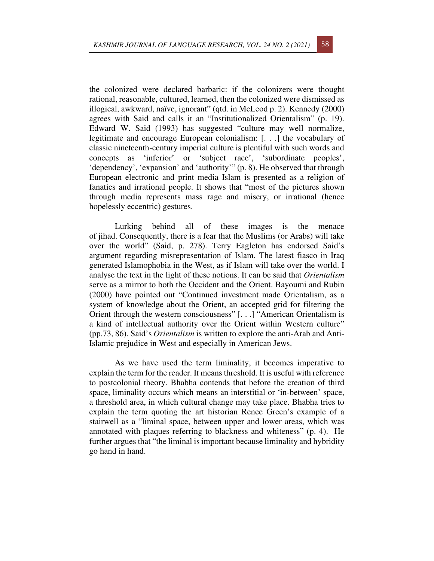the colonized were declared barbaric: if the colonizers were thought rational, reasonable, cultured, learned, then the colonized were dismissed as illogical, awkward, naïve, ignorant" (qtd. in McLeod p. 2). Kennedy (2000) agrees with Said and calls it an "Institutionalized Orientalism" (p. 19). Edward W. Said (1993) has suggested "culture may well normalize, legitimate and encourage European colonialism: [. . .] the vocabulary of classic nineteenth-century imperial culture is plentiful with such words and concepts as 'inferior' or 'subject race', 'subordinate peoples', 'dependency', 'expansion' and 'authority'" (p. 8). He observed that through European electronic and print media Islam is presented as a religion of fanatics and irrational people. It shows that "most of the pictures shown through media represents mass rage and misery, or irrational (hence hopelessly eccentric) gestures.

Lurking behind all of these images is the menace of jihad. Consequently, there is a fear that the Muslims (or Arabs) will take over the world" (Said, p. 278). Terry Eagleton has endorsed Said's argument regarding misrepresentation of Islam. The latest fiasco in Iraq generated Islamophobia in the West, as if Islam will take over the world. I analyse the text in the light of these notions. It can be said that *Orientalism* serve as a mirror to both the Occident and the Orient. Bayoumi and Rubin (2000) have pointed out "Continued investment made Orientalism, as a system of knowledge about the Orient, an accepted grid for filtering the Orient through the western consciousness" [. . .] "American Orientalism is a kind of intellectual authority over the Orient within Western culture" (pp.73, 86). Said's *Orientalism* is written to explore the anti-Arab and Anti-Islamic prejudice in West and especially in American Jews.

As we have used the term liminality, it becomes imperative to explain the term for the reader. It means threshold. It is useful with reference to postcolonial theory. Bhabha contends that before the creation of third space, liminality occurs which means an interstitial or 'in-between' space, a threshold area, in which cultural change may take place. Bhabha tries to explain the term quoting the art historian Renee Green's example of a stairwell as a "liminal space, between upper and lower areas, which was annotated with plaques referring to blackness and whiteness" (p. 4). He further argues that "the liminal is important because liminality and hybridity go hand in hand.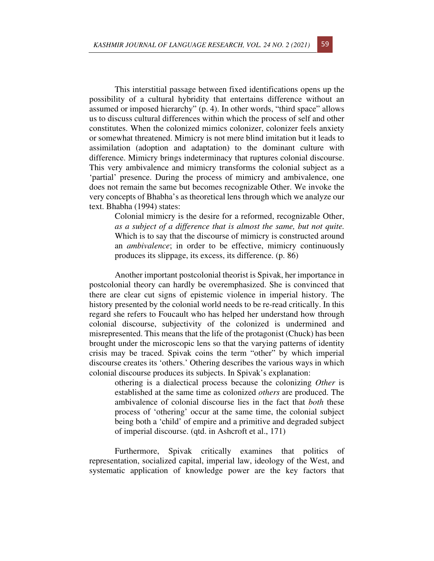This interstitial passage between fixed identifications opens up the possibility of a cultural hybridity that entertains difference without an assumed or imposed hierarchy" (p. 4). In other words, "third space" allows us to discuss cultural differences within which the process of self and other constitutes. When the colonized mimics colonizer, colonizer feels anxiety or somewhat threatened. Mimicry is not mere blind imitation but it leads to assimilation (adoption and adaptation) to the dominant culture with difference. Mimicry brings indeterminacy that ruptures colonial discourse. This very ambivalence and mimicry transforms the colonial subject as a 'partial' presence. During the process of mimicry and ambivalence, one does not remain the same but becomes recognizable Other. We invoke the very concepts of Bhabha's as theoretical lens through which we analyze our text. Bhabha (1994) states:

Colonial mimicry is the desire for a reformed, recognizable Other, *as a subject of a difference that is almost the same, but not quite.* Which is to say that the discourse of mimicry is constructed around an *ambivalence*; in order to be effective, mimicry continuously produces its slippage, its excess, its difference. (p. 86)

Another important postcolonial theorist is Spivak, her importance in postcolonial theory can hardly be overemphasized. She is convinced that there are clear cut signs of epistemic violence in imperial history. The history presented by the colonial world needs to be re-read critically. In this regard she refers to Foucault who has helped her understand how through colonial discourse, subjectivity of the colonized is undermined and misrepresented. This means that the life of the protagonist (Chuck) has been brought under the microscopic lens so that the varying patterns of identity crisis may be traced. Spivak coins the term "other" by which imperial discourse creates its 'others.' Othering describes the various ways in which colonial discourse produces its subjects. In Spivak's explanation:

othering is a dialectical process because the colonizing *Other* is established at the same time as colonized *others* are produced. The ambivalence of colonial discourse lies in the fact that *both* these process of 'othering' occur at the same time, the colonial subject being both a 'child' of empire and a primitive and degraded subject of imperial discourse. (qtd. in Ashcroft et al., 171)

Furthermore, Spivak critically examines that politics of representation, socialized capital, imperial law, ideology of the West, and systematic application of knowledge power are the key factors that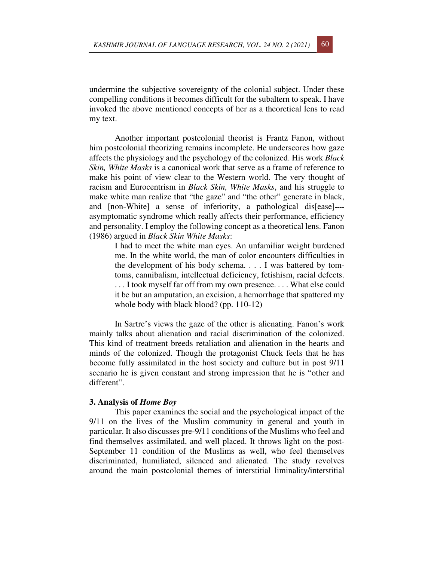undermine the subjective sovereignty of the colonial subject. Under these compelling conditions it becomes difficult for the subaltern to speak. I have invoked the above mentioned concepts of her as a theoretical lens to read my text.

Another important postcolonial theorist is Frantz Fanon, without him postcolonial theorizing remains incomplete. He underscores how gaze affects the physiology and the psychology of the colonized. His work *Black Skin, White Masks* is a canonical work that serve as a frame of reference to make his point of view clear to the Western world. The very thought of racism and Eurocentrism in *Black Skin, White Masks*, and his struggle to make white man realize that "the gaze" and "the other" generate in black, and [non-White] a sense of inferiority, a pathological dis[ease] asymptomatic syndrome which really affects their performance, efficiency and personality. I employ the following concept as a theoretical lens. Fanon (1986) argued in *Black Skin White Masks*:

I had to meet the white man eyes. An unfamiliar weight burdened me. In the white world, the man of color encounters difficulties in the development of his body schema. . . . I was battered by tomtoms, cannibalism, intellectual deficiency, fetishism, racial defects. ... I took myself far off from my own presence.... What else could it be but an amputation, an excision, a hemorrhage that spattered my whole body with black blood? (pp. 110-12)

In Sartre's views the gaze of the other is alienating. Fanon's work mainly talks about alienation and racial discrimination of the colonized. This kind of treatment breeds retaliation and alienation in the hearts and minds of the colonized. Though the protagonist Chuck feels that he has become fully assimilated in the host society and culture but in post 9/11 scenario he is given constant and strong impression that he is "other and different".

## **3. Analysis of** *Home Boy*

This paper examines the social and the psychological impact of the 9/11 on the lives of the Muslim community in general and youth in particular. It also discusses pre-9/11 conditions of the Muslims who feel and find themselves assimilated, and well placed. It throws light on the post-September 11 condition of the Muslims as well, who feel themselves discriminated, humiliated, silenced and alienated. The study revolves around the main postcolonial themes of interstitial liminality/interstitial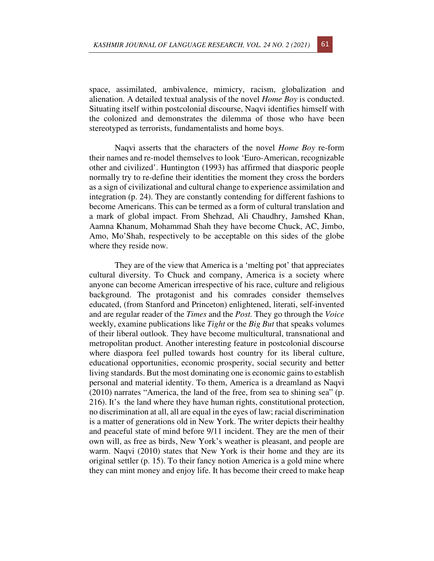space, assimilated, ambivalence, mimicry, racism, globalization and alienation. A detailed textual analysis of the novel *Home Boy* is conducted. Situating itself within postcolonial discourse, Naqvi identifies himself with the colonized and demonstrates the dilemma of those who have been stereotyped as terrorists, fundamentalists and home boys.

Naqvi asserts that the characters of the novel *Home Boy* re-form their names and re-model themselves to look 'Euro-American, recognizable other and civilized'. Huntington (1993) has affirmed that diasporic people normally try to re-define their identities the moment they cross the borders as a sign of civilizational and cultural change to experience assimilation and integration (p. 24). They are constantly contending for different fashions to become Americans. This can be termed as a form of cultural translation and a mark of global impact. From Shehzad, Ali Chaudhry, Jamshed Khan, Aamna Khanum, Mohammad Shah they have become Chuck, AC, Jimbo, Amo, Mo'Shah, respectively to be acceptable on this sides of the globe where they reside now.

They are of the view that America is a 'melting pot' that appreciates cultural diversity. To Chuck and company, America is a society where anyone can become American irrespective of his race, culture and religious background. The protagonist and his comrades consider themselves educated, (from Stanford and Princeton) enlightened, literati, self-invented and are regular reader of the *Times* and the *Post.* They go through the *Voice* weekly, examine publications like *Tight* or the *Big But* that speaks volumes of their liberal outlook. They have become multicultural, transnational and metropolitan product. Another interesting feature in postcolonial discourse where diaspora feel pulled towards host country for its liberal culture, educational opportunities, economic prosperity, social security and better living standards. But the most dominating one is economic gains to establish personal and material identity. To them, America is a dreamland as Naqvi (2010) narrates "America, the land of the free, from sea to shining sea" (p. 216). It's the land where they have human rights, constitutional protection, no discrimination at all, all are equal in the eyes of law; racial discrimination is a matter of generations old in New York. The writer depicts their healthy and peaceful state of mind before 9/11 incident. They are the men of their own will, as free as birds, New York's weather is pleasant, and people are warm. Naqvi (2010) states that New York is their home and they are its original settler (p. 15). To their fancy notion America is a gold mine where they can mint money and enjoy life. It has become their creed to make heap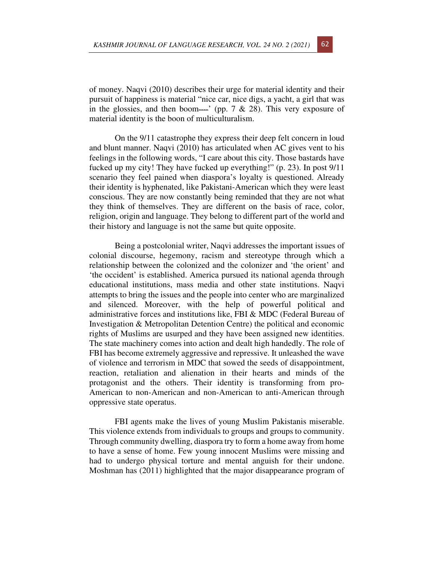of money. Naqvi (2010) describes their urge for material identity and their pursuit of happiness is material "nice car, nice digs, a yacht, a girl that was in the glossies, and then boom-' (pp. 7  $\&$  28). This very exposure of material identity is the boon of multiculturalism.

On the 9/11 catastrophe they express their deep felt concern in loud and blunt manner. Naqvi (2010) has articulated when AC gives vent to his feelings in the following words, "I care about this city. Those bastards have fucked up my city! They have fucked up everything!" (p. 23). In post 9/11 scenario they feel pained when diaspora's loyalty is questioned. Already their identity is hyphenated, like Pakistani-American which they were least conscious. They are now constantly being reminded that they are not what they think of themselves. They are different on the basis of race, color, religion, origin and language. They belong to different part of the world and their history and language is not the same but quite opposite.

Being a postcolonial writer, Naqvi addresses the important issues of colonial discourse, hegemony, racism and stereotype through which a relationship between the colonized and the colonizer and 'the orient' and 'the occident' is established. America pursued its national agenda through educational institutions, mass media and other state institutions. Naqvi attempts to bring the issues and the people into center who are marginalized and silenced. Moreover, with the help of powerful political and administrative forces and institutions like, FBI & MDC (Federal Bureau of Investigation & Metropolitan Detention Centre) the political and economic rights of Muslims are usurped and they have been assigned new identities. The state machinery comes into action and dealt high handedly. The role of FBI has become extremely aggressive and repressive. It unleashed the wave of violence and terrorism in MDC that sowed the seeds of disappointment, reaction, retaliation and alienation in their hearts and minds of the protagonist and the others. Their identity is transforming from pro-American to non-American and non-American to anti-American through oppressive state operatus.

FBI agents make the lives of young Muslim Pakistanis miserable. This violence extends from individuals to groups and groups to community. Through community dwelling, diaspora try to form a home away from home to have a sense of home. Few young innocent Muslims were missing and had to undergo physical torture and mental anguish for their undone. Moshman has (2011) highlighted that the major disappearance program of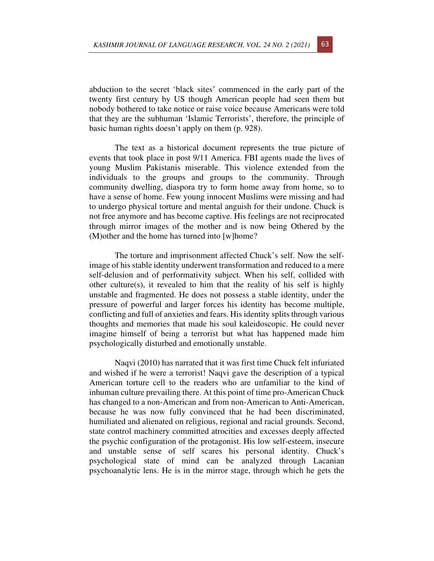abduction to the secret 'black sites' commenced in the early part of the twenty first century by US though American people had seen them but nobody bothered to take notice or raise voice because Americans were told that they are the subhuman 'Islamic Terrorists', therefore, the principle of basic human rights doesn't apply on them (p. 928).

The text as a historical document represents the true picture of events that took place in post 9/11 America. FBI agents made the lives of young Muslim Pakistanis miserable. This violence extended from the individuals to the groups and groups to the community. Through community dwelling, diaspora try to form home away from home, so to have a sense of home. Few young innocent Muslims were missing and had to undergo physical torture and mental anguish for their undone. Chuck is not free anymore and has become captive. His feelings are not reciprocated through mirror images of the mother and is now being Othered by the (M)other and the home has turned into [w]home?

The torture and imprisonment affected Chuck's self. Now the selfimage of his stable identity underwent transformation and reduced to a mere self-delusion and of performativity subject. When his self, collided with other culture(s), it revealed to him that the reality of his self is highly unstable and fragmented. He does not possess a stable identity, under the pressure of powerful and larger forces his identity has become multiple, conflicting and full of anxieties and fears. His identity splits through various thoughts and memories that made his soul kaleidoscopic. He could never imagine himself of being a terrorist but what has happened made him psychologically disturbed and emotionally unstable.

Naqvi (2010) has narrated that it was first time Chuck felt infuriated and wished if he were a terrorist! Naqvi gave the description of a typical American torture cell to the readers who are unfamiliar to the kind of inhuman culture prevailing there. At this point of time pro-American Chuck has changed to a non-American and from non-American to Anti-American, because he was now fully convinced that he had been discriminated, humiliated and alienated on religious, regional and racial grounds. Second, state control machinery committed atrocities and excesses deeply affected the psychic configuration of the protagonist. His low self-esteem, insecure and unstable sense of self scares his personal identity. Chuck's psychological state of mind can be analyzed through Lacanian psychoanalytic lens. He is in the mirror stage, through which he gets the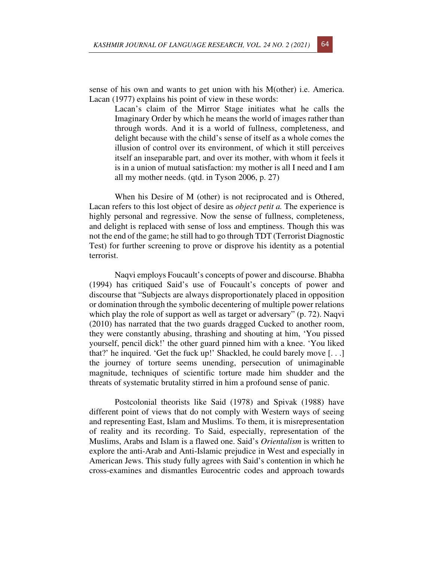sense of his own and wants to get union with his M(other) i.e. America. Lacan (1977) explains his point of view in these words:

> Lacan's claim of the Mirror Stage initiates what he calls the Imaginary Order by which he means the world of images rather than through words. And it is a world of fullness, completeness, and delight because with the child's sense of itself as a whole comes the illusion of control over its environment, of which it still perceives itself an inseparable part, and over its mother, with whom it feels it is in a union of mutual satisfaction: my mother is all I need and I am all my mother needs. (qtd. in Tyson 2006, p. 27)

When his Desire of M (other) is not reciprocated and is Othered, Lacan refers to this lost object of desire as *object petit a.* The experience is highly personal and regressive. Now the sense of fullness, completeness, and delight is replaced with sense of loss and emptiness. Though this was not the end of the game; he still had to go through TDT (Terrorist Diagnostic Test) for further screening to prove or disprove his identity as a potential terrorist.

Naqvi employs Foucault's concepts of power and discourse. Bhabha (1994) has critiqued Said's use of Foucault's concepts of power and discourse that "Subjects are always disproportionately placed in opposition or domination through the symbolic decentering of multiple power relations which play the role of support as well as target or adversary" (p. 72). Naqvi (2010) has narrated that the two guards dragged Cucked to another room, they were constantly abusing, thrashing and shouting at him, 'You pissed yourself, pencil dick!' the other guard pinned him with a knee. 'You liked that?' he inquired. 'Get the fuck up!' Shackled, he could barely move  $[\dots]$ the journey of torture seems unending, persecution of unimaginable magnitude, techniques of scientific torture made him shudder and the threats of systematic brutality stirred in him a profound sense of panic.

Postcolonial theorists like Said (1978) and Spivak (1988) have different point of views that do not comply with Western ways of seeing and representing East, Islam and Muslims. To them, it is misrepresentation of reality and its recording. To Said, especially, representation of the Muslims, Arabs and Islam is a flawed one. Said's *Orientalism* is written to explore the anti-Arab and Anti-Islamic prejudice in West and especially in American Jews. This study fully agrees with Said's contention in which he cross-examines and dismantles Eurocentric codes and approach towards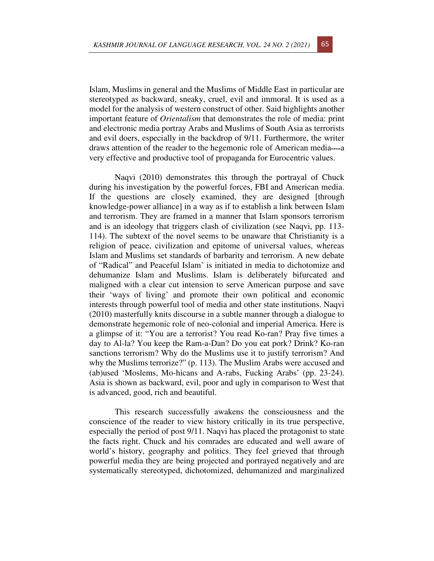Islam, Muslims in general and the Muslims of Middle East in particular are stereotyped as backward, sneaky, cruel, evil and immoral. It is used as a model for the analysis of western construct of other. Said highlights another important feature of *Orientalism* that demonstrates the role of media: print and electronic media portray Arabs and Muslims of South Asia as terrorists and evil doers, especially in the backdrop of 9/11. Furthermore, the writer draws attention of the reader to the hegemonic role of American media---a very effective and productive tool of propaganda for Eurocentric values.

Naqvi (2010) demonstrates this through the portrayal of Chuck during his investigation by the powerful forces, FBI and American media. If the questions are closely examined, they are designed [through knowledge-power alliance] in a way as if to establish a link between Islam and terrorism. They are framed in a manner that Islam sponsors terrorism and is an ideology that triggers clash of civilization (see Naqvi, pp. 113- 114). The subtext of the novel seems to be unaware that Christianity is a religion of peace, civilization and epitome of universal values, whereas Islam and Muslims set standards of barbarity and terrorism. A new debate of "Radical" and Peaceful Islam' is initiated in media to dichotomize and dehumanize Islam and Muslims. Islam is deliberately bifurcated and maligned with a clear cut intension to serve American purpose and save their 'ways of living' and promote their own political and economic interests through powerful tool of media and other state institutions. Naqvi (2010) masterfully knits discourse in a subtle manner through a dialogue to demonstrate hegemonic role of neo-colonial and imperial America. Here is a glimpse of it: "You are a terrorist? You read Ko-ran? Pray five times a day to Al-la? You keep the Ram-a-Dan? Do you eat pork? Drink? Ko-ran sanctions terrorism? Why do the Muslims use it to justify terrorism? And why the Muslims terrorize?" (p. 113). The Muslim Arabs were accused and (ab)used 'Moslems, Mo-hicans and A-rabs, Fucking Arabs' (pp. 23-24). Asia is shown as backward, evil, poor and ugly in comparison to West that is advanced, good, rich and beautiful.

This research successfully awakens the consciousness and the conscience of the reader to view history critically in its true perspective, especially the period of post 9/11. Naqvi has placed the protagonist to state the facts right. Chuck and his comrades are educated and well aware of world's history, geography and politics. They feel grieved that through powerful media they are being projected and portrayed negatively and are systematically stereotyped, dichotomized, dehumanized and marginalized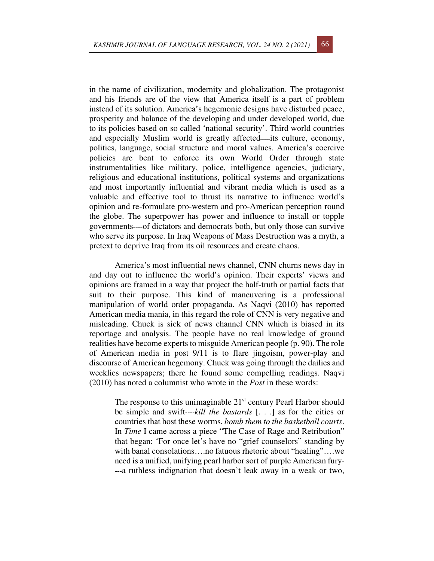in the name of civilization, modernity and globalization. The protagonist and his friends are of the view that America itself is a part of problem instead of its solution. America's hegemonic designs have disturbed peace, prosperity and balance of the developing and under developed world, due to its policies based on so called 'national security'. Third world countries and especially Muslim world is greatly affected—its culture, economy, politics, language, social structure and moral values. America's coercive policies are bent to enforce its own World Order through state instrumentalities like military, police, intelligence agencies, judiciary, religious and educational institutions, political systems and organizations and most importantly influential and vibrant media which is used as a valuable and effective tool to thrust its narrative to influence world's opinion and re-formulate pro-western and pro-American perception round the globe. The superpower has power and influence to install or topple governments—of dictators and democrats both, but only those can survive who serve its purpose. In Iraq Weapons of Mass Destruction was a myth, a pretext to deprive Iraq from its oil resources and create chaos.

America's most influential news channel, CNN churns news day in and day out to influence the world's opinion. Their experts' views and opinions are framed in a way that project the half-truth or partial facts that suit to their purpose. This kind of maneuvering is a professional manipulation of world order propaganda. As Naqvi (2010) has reported American media mania, in this regard the role of CNN is very negative and misleading. Chuck is sick of news channel CNN which is biased in its reportage and analysis. The people have no real knowledge of ground realities have become experts to misguide American people (p. 90). The role of American media in post 9/11 is to flare jingoism, power-play and discourse of American hegemony. Chuck was going through the dailies and weeklies newspapers; there he found some compelling readings. Naqvi (2010) has noted a columnist who wrote in the *Post* in these words:

> The response to this unimaginable  $21<sup>st</sup>$  century Pearl Harbor should be simple and swift—*kill the bastards* [...] as for the cities or countries that host these worms, *bomb them to the basketball courts*. In *Time* I came across a piece "The Case of Rage and Retribution" that began: 'For once let's have no "grief counselors" standing by with banal consolations….no fatuous rhetoric about "healing"….we need is a unified, unifying pearl harbor sort of purple American fury-  $-a$  ruthless indignation that doesn't leak away in a weak or two,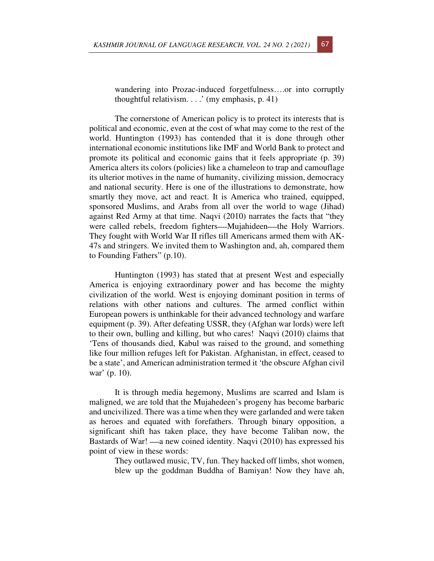wandering into Prozac-induced forgetfulness….or into corruptly thoughtful relativism. . . .' (my emphasis, p. 41)

The cornerstone of American policy is to protect its interests that is political and economic, even at the cost of what may come to the rest of the world. Huntington (1993) has contended that it is done through other international economic institutions like IMF and World Bank to protect and promote its political and economic gains that it feels appropriate (p. 39) America alters its colors (policies) like a chameleon to trap and camouflage its ulterior motives in the name of humanity, civilizing mission, democracy and national security. Here is one of the illustrations to demonstrate, how smartly they move, act and react. It is America who trained, equipped, sponsored Muslims, and Arabs from all over the world to wage (Jihad) against Red Army at that time. Naqvi (2010) narrates the facts that "they were called rebels, freedom fighters—Mujahideen—the Holy Warriors. They fought with World War II rifles till Americans armed them with AK-47s and stringers. We invited them to Washington and, ah, compared them to Founding Fathers" (p.10).

Huntington (1993) has stated that at present West and especially America is enjoying extraordinary power and has become the mighty civilization of the world. West is enjoying dominant position in terms of relations with other nations and cultures. The armed conflict within European powers is unthinkable for their advanced technology and warfare equipment (p. 39). After defeating USSR, they (Afghan war lords) were left to their own, bulling and killing, but who cares! Naqvi (2010) claims that 'Tens of thousands died, Kabul was raised to the ground, and something like four million refuges left for Pakistan. Afghanistan, in effect, ceased to be a state', and American administration termed it 'the obscure Afghan civil war' (p. 10).

It is through media hegemony, Muslims are scarred and Islam is maligned, we are told that the Mujahedeen's progeny has become barbaric and uncivilized. There was a time when they were garlanded and were taken as heroes and equated with forefathers. Through binary opposition, a significant shift has taken place, they have become Taliban now, the Bastards of War!  $\_\_\_\$ a new coined identity. Naqvi (2010) has expressed his point of view in these words:

They outlawed music, TV, fun. They hacked off limbs, shot women, blew up the goddman Buddha of Bamiyan! Now they have ah,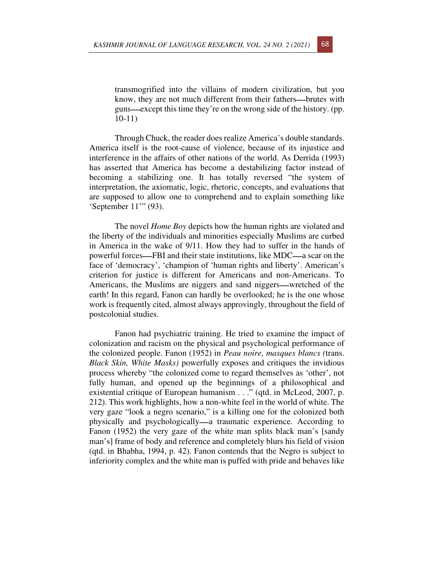transmogrified into the villains of modern civilization, but you know, they are not much different from their fathers—brutes with guns—except this time they're on the wrong side of the history. (pp. 10-11)

Through Chuck, the reader does realize America's double standards. America itself is the root-cause of violence, because of its injustice and interference in the affairs of other nations of the world. As Derrida (1993) has asserted that America has become a destabilizing factor instead of becoming a stabilizing one. It has totally reversed "the system of interpretation, the axiomatic, logic, rhetoric, concepts, and evaluations that are supposed to allow one to comprehend and to explain something like 'September 11'" (93).

The novel *Home Boy* depicts how the human rights are violated and the liberty of the individuals and minorities especially Muslims are curbed in America in the wake of 9/11. How they had to suffer in the hands of powerful forces—FBI and their state institutions, like MDC—a scar on the face of 'democracy', 'champion of 'human rights and liberty'. American's criterion for justice is different for Americans and non-Americans. To Americans, the Muslims are niggers and sand niggers—wretched of the earth! In this regard, Fanon can hardly be overlooked; he is the one whose work is frequently cited, almost always approvingly, throughout the field of postcolonial studies.

Fanon had psychiatric training. He tried to examine the impact of colonization and racism on the physical and psychological performance of the colonized people. Fanon (1952) in *Peau noire, masques blancs (*trans. *Black Skin, White Masks)* powerfully exposes and critiques the invidious process whereby "the colonized come to regard themselves as 'other', not fully human, and opened up the beginnings of a philosophical and existential critique of European humanism . . ." (qtd. in McLeod, 2007, p. 212). This work highlights, how a non-white feel in the world of white. The very gaze "look a negro scenario," is a killing one for the colonized both physically and psychologically—a traumatic experience. According to Fanon (1952) the very gaze of the white man splits black man's [sandy man's] frame of body and reference and completely blurs his field of vision (qtd. in Bhabha, 1994, p. 42). Fanon contends that the Negro is subject to inferiority complex and the white man is puffed with pride and behaves like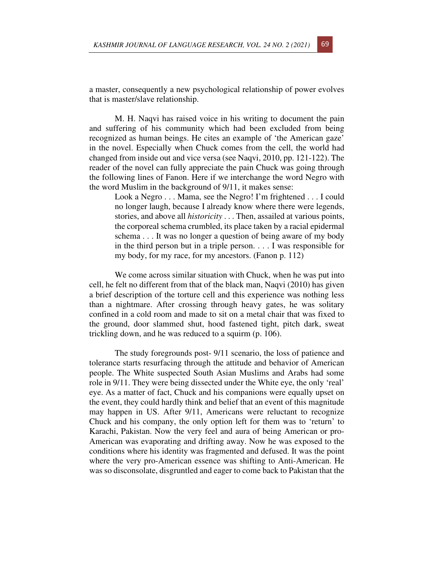a master, consequently a new psychological relationship of power evolves that is master/slave relationship.

M. H. Naqvi has raised voice in his writing to document the pain and suffering of his community which had been excluded from being recognized as human beings. He cites an example of 'the American gaze' in the novel. Especially when Chuck comes from the cell, the world had changed from inside out and vice versa (see Naqvi, 2010, pp. 121-122). The reader of the novel can fully appreciate the pain Chuck was going through the following lines of Fanon. Here if we interchange the word Negro with the word Muslim in the background of 9/11, it makes sense:

Look a Negro . . . Mama, see the Negro! I'm frightened . . . I could no longer laugh, because I already know where there were legends, stories, and above all *historicity* . . . Then, assailed at various points, the corporeal schema crumbled, its place taken by a racial epidermal schema . . . It was no longer a question of being aware of my body in the third person but in a triple person. . . . I was responsible for my body, for my race, for my ancestors. (Fanon p. 112)

We come across similar situation with Chuck, when he was put into cell, he felt no different from that of the black man, Naqvi (2010) has given a brief description of the torture cell and this experience was nothing less than a nightmare. After crossing through heavy gates, he was solitary confined in a cold room and made to sit on a metal chair that was fixed to the ground, door slammed shut, hood fastened tight, pitch dark, sweat trickling down, and he was reduced to a squirm (p. 106).

The study foregrounds post- 9/11 scenario, the loss of patience and tolerance starts resurfacing through the attitude and behavior of American people. The White suspected South Asian Muslims and Arabs had some role in 9/11. They were being dissected under the White eye, the only 'real' eye. As a matter of fact, Chuck and his companions were equally upset on the event, they could hardly think and belief that an event of this magnitude may happen in US. After 9/11, Americans were reluctant to recognize Chuck and his company, the only option left for them was to 'return' to Karachi, Pakistan. Now the very feel and aura of being American or pro-American was evaporating and drifting away. Now he was exposed to the conditions where his identity was fragmented and defused. It was the point where the very pro-American essence was shifting to Anti-American. He was so disconsolate, disgruntled and eager to come back to Pakistan that the

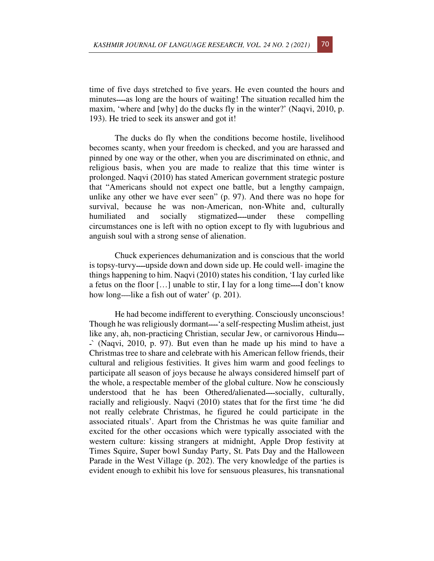time of five days stretched to five years. He even counted the hours and minutes—as long are the hours of waiting! The situation recalled him the maxim, 'where and [why] do the ducks fly in the winter?' (Naqvi, 2010, p. 193). He tried to seek its answer and got it!

The ducks do fly when the conditions become hostile, livelihood becomes scanty, when your freedom is checked, and you are harassed and pinned by one way or the other, when you are discriminated on ethnic, and religious basis, when you are made to realize that this time winter is prolonged. Naqvi (2010) has stated American government strategic posture that "Americans should not expect one battle, but a lengthy campaign, unlike any other we have ever seen" (p. 97). And there was no hope for survival, because he was non-American, non-White and, culturally humiliated and socially stigmatized—under these compelling circumstances one is left with no option except to fly with lugubrious and anguish soul with a strong sense of alienation.

Chuck experiences dehumanization and is conscious that the world is topsy-turvy—upside down and down side up. He could well- imagine the things happening to him. Naqvi (2010) states his condition, 'I lay curled like a fetus on the floor  $[...]$  unable to stir, I lay for a long time—I don't know how long—like a fish out of water'  $(p. 201)$ .

He had become indifferent to everything. Consciously unconscious! Though he was religiously dormant—'a self-respecting Muslim atheist, just like any, ah, non-practicing Christian, secular Jew, or carnivorous Hindu--- $\therefore$  (Naqvi, 2010, p. 97). But even than he made up his mind to have a Christmas tree to share and celebrate with his American fellow friends, their cultural and religious festivities. It gives him warm and good feelings to participate all season of joys because he always considered himself part of the whole, a respectable member of the global culture. Now he consciously understood that he has been Othered/alienated—socially, culturally, racially and religiously. Naqvi (2010) states that for the first time 'he did not really celebrate Christmas, he figured he could participate in the associated rituals'. Apart from the Christmas he was quite familiar and excited for the other occasions which were typically associated with the western culture: kissing strangers at midnight, Apple Drop festivity at Times Squire, Super bowl Sunday Party, St. Pats Day and the Halloween Parade in the West Village (p. 202). The very knowledge of the parties is evident enough to exhibit his love for sensuous pleasures, his transnational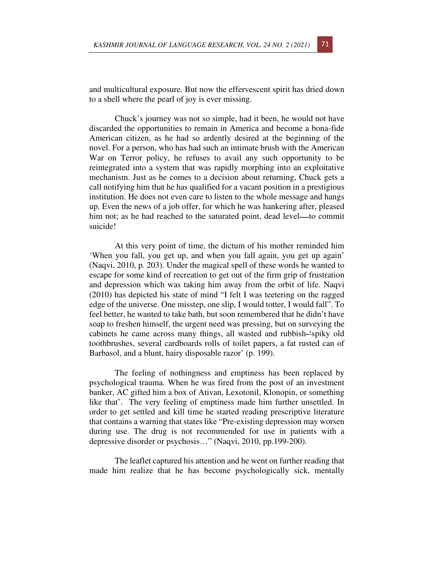and multicultural exposure. But now the effervescent spirit has dried down to a shell where the pearl of joy is ever missing.

Chuck's journey was not so simple, had it been, he would not have discarded the opportunities to remain in America and become a bona-fide American citizen, as he had so ardently desired at the beginning of the novel. For a person, who has had such an intimate brush with the American War on Terror policy, he refuses to avail any such opportunity to be reintegrated into a system that was rapidly morphing into an exploitative mechanism. Just as he comes to a decision about returning, Chuck gets a call notifying him that he has qualified for a vacant position in a prestigious institution. He does not even care to listen to the whole message and hangs up. Even the news of a job offer, for which he was hankering after, pleased him not; as he had reached to the saturated point, dead level—to commit suicide!

At this very point of time, the dictum of his mother reminded him 'When you fall, you get up, and when you fall again, you get up again' (Naqvi, 2010, p. 203). Under the magical spell of these words he wanted to escape for some kind of recreation to get out of the firm grip of frustration and depression which was taking him away from the orbit of life. Naqvi (2010) has depicted his state of mind "I felt I was teetering on the ragged edge of the universe. One misstep, one slip, I would totter, I would fall". To feel better, he wanted to take bath, but soon remembered that he didn't have soap to freshen himself, the urgent need was pressing, but on surveying the cabinets he came across many things, all wasted and rubbish-'spiky old toothbrushes, several cardboards rolls of toilet papers, a fat rusted can of Barbasol, and a blunt, hairy disposable razor' (p. 199).

The feeling of nothingness and emptiness has been replaced by psychological trauma. When he was fired from the post of an investment banker, AC gifted him a box of Ativan, Lexotonil, Klonopin, or something like that'. The very feeling of emptiness made him further unsettled. In order to get settled and kill time he started reading prescriptive literature that contains a warning that states like "Pre-existing depression may worsen during use. The drug is not recommended for use in patients with a depressive disorder or psychosis…" (Naqvi, 2010, pp.199-200).

The leaflet captured his attention and he went on further reading that made him realize that he has become psychologically sick, mentally

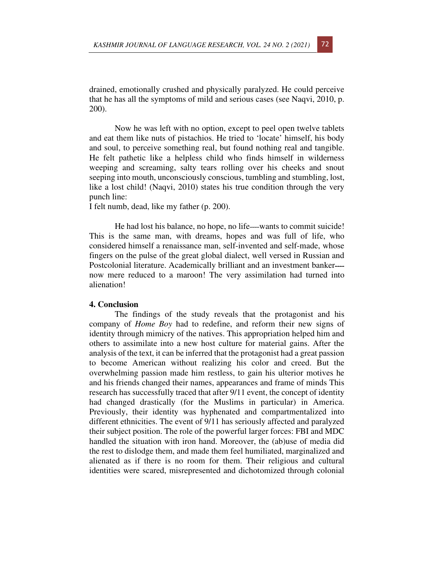drained, emotionally crushed and physically paralyzed. He could perceive that he has all the symptoms of mild and serious cases (see Naqvi, 2010, p. 200).

Now he was left with no option, except to peel open twelve tablets and eat them like nuts of pistachios. He tried to 'locate' himself, his body and soul, to perceive something real, but found nothing real and tangible. He felt pathetic like a helpless child who finds himself in wilderness weeping and screaming, salty tears rolling over his cheeks and snout seeping into mouth, unconsciously conscious, tumbling and stumbling, lost, like a lost child! (Naqvi, 2010) states his true condition through the very punch line:

I felt numb, dead, like my father (p. 200).

He had lost his balance, no hope, no life—wants to commit suicide! This is the same man, with dreams, hopes and was full of life, who considered himself a renaissance man, self-invented and self-made, whose fingers on the pulse of the great global dialect, well versed in Russian and Postcolonial literature. Academically brilliant and an investment banker--now mere reduced to a maroon! The very assimilation had turned into alienation!

## **4. Conclusion**

The findings of the study reveals that the protagonist and his company of *Home Boy* had to redefine, and reform their new signs of identity through mimicry of the natives. This appropriation helped him and others to assimilate into a new host culture for material gains. After the analysis of the text, it can be inferred that the protagonist had a great passion to become American without realizing his color and creed. But the overwhelming passion made him restless, to gain his ulterior motives he and his friends changed their names, appearances and frame of minds This research has successfully traced that after 9/11 event, the concept of identity had changed drastically (for the Muslims in particular) in America. Previously, their identity was hyphenated and compartmentalized into different ethnicities. The event of 9/11 has seriously affected and paralyzed their subject position. The role of the powerful larger forces: FBI and MDC handled the situation with iron hand. Moreover, the (ab)use of media did the rest to dislodge them, and made them feel humiliated, marginalized and alienated as if there is no room for them. Their religious and cultural identities were scared, misrepresented and dichotomized through colonial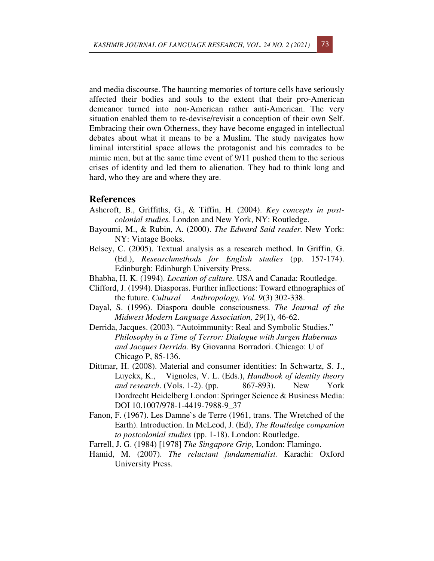and media discourse. The haunting memories of torture cells have seriously affected their bodies and souls to the extent that their pro-American demeanor turned into non-American rather anti-American. The very situation enabled them to re-devise/revisit a conception of their own Self. Embracing their own Otherness, they have become engaged in intellectual debates about what it means to be a Muslim. The study navigates how liminal interstitial space allows the protagonist and his comrades to be mimic men, but at the same time event of 9/11 pushed them to the serious crises of identity and led them to alienation. They had to think long and hard, who they are and where they are.

# **References**

- Ashcroft, B., Griffiths, G., & Tiffin, H. (2004). *Key concepts in postcolonial studies.* London and New York, NY: Routledge.
- Bayoumi, M., & Rubin, A. (2000). *The Edward Said reader.* New York: NY: Vintage Books.
- Belsey, C. (2005). Textual analysis as a research method. In Griffin, G. (Ed.), *Researchmethods for English studies* (pp. 157-174). Edinburgh: Edinburgh University Press.
- Bhabha, H. K. (1994). *Location of culture.* USA and Canada: Routledge.
- Clifford, J. (1994). Diasporas. Further inflections: Toward ethnographies of the future. *Cultural Anthropology, Vol. 9*(3) 302-338.
- Dayal, S. (1996). Diaspora double consciousness. *The Journal of the Midwest Modern Language Association, 29*(1), 46-62.
- Derrida, Jacques. (2003). "Autoimmunity: Real and Symbolic Studies." *Philosophy in a Time of Terror: Dialogue with Jurgen Habermas and Jacques Derrida.* By Giovanna Borradori. Chicago: U of Chicago P, 85-136.
- Dittmar, H. (2008). Material and consumer identities: In Schwartz, S. J., Luyckx, K., Vignoles, V. L. (Eds.), *Handbook of identity theory and research*. (Vols. 1-2). (pp. 867-893). New York Dordrecht Heidelberg London: Springer Science & Business Media: DOI 10.1007/978-1-4419-7988-9\_37
- Fanon, F. (1967). Les Damne`s de Terre (1961, trans. The Wretched of the Earth). Introduction. In McLeod, J. (Ed), *The Routledge companion to postcolonial studies* (pp. 1-18). London: Routledge.
- Farrell, J. G. (1984) [1978] *The Singapore Grip,* London: Flamingo.
- Hamid, M. (2007). *The reluctant fundamentalist.* Karachi: Oxford University Press.